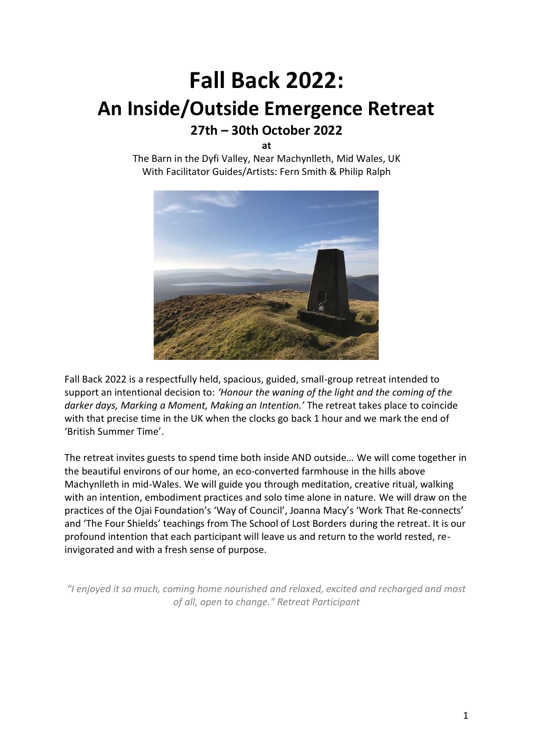# **Fall Back 2022: An Inside/Outside Emergence Retreat 27th – 30th October 2022**

**at**

The Barn in the Dyfi Valley, Near Machynlleth, Mid Wales, UK With Facilitator Guides/Artists: Fern Smith & Philip Ralph



Fall Back 2022 is a respectfully held, spacious, guided, small-group retreat intended to support an intentional decision to: *'Honour the waning of the light and the coming of the darker days, Marking a Moment, Making an Intention.'* The retreat takes place to coincide with that precise time in the UK when the clocks go back 1 hour and we mark the end of 'British Summer Time'.

The retreat invites guests to spend time both inside AND outside… We will come together in the beautiful environs of our home, an eco-converted farmhouse in the hills above Machynlleth in mid-Wales. We will guide you through meditation, creative ritual, walking with an intention, embodiment practices and solo time alone in nature. We will draw on the practices of the Ojai Foundation's 'Way of Council', Joanna Macy's 'Work That Re-connects' and 'The Four Shields' teachings from The School of Lost Borders during the retreat. It is our profound intention that each participant will leave us and return to the world rested, reinvigorated and with a fresh sense of purpose.

*"I enjoyed it so much, coming home nourished and relaxed, excited and recharged and most of all, open to change." Retreat Participant*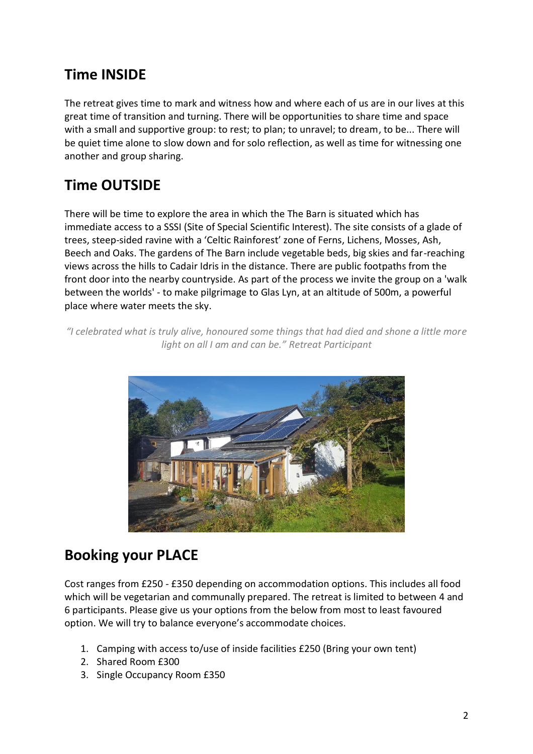### **Time INSIDE**

The retreat gives time to mark and witness how and where each of us are in our lives at this great time of transition and turning. There will be opportunities to share time and space with a small and supportive group: to rest; to plan; to unravel; to dream, to be... There will be quiet time alone to slow down and for solo reflection, as well as time for witnessing one another and group sharing.

### **Time OUTSIDE**

There will be time to explore the area in which the The Barn is situated which has immediate access to a SSSI (Site of Special Scientific Interest). The site consists of a glade of trees, steep-sided ravine with a 'Celtic Rainforest' zone of Ferns, Lichens, Mosses, Ash, Beech and Oaks. The gardens of The Barn include vegetable beds, big skies and far-reaching views across the hills to Cadair Idris in the distance. There are public footpaths from the front door into the nearby countryside. As part of the process we invite the group on a 'walk between the worlds' - to make pilgrimage to Glas Lyn, at an altitude of 500m, a powerful place where water meets the sky.

*"I celebrated what is truly alive, honoured some things that had died and shone a little more light on all I am and can be." Retreat Participant*



### **Booking your PLACE**

Cost ranges from £250 - £350 depending on accommodation options. This includes all food which will be vegetarian and communally prepared. The retreat is limited to between 4 and 6 participants. Please give us your options from the below from most to least favoured option. We will try to balance everyone's accommodate choices.

- 1. Camping with access to/use of inside facilities £250 (Bring your own tent)
- 2. Shared Room £300
- 3. Single Occupancy Room £350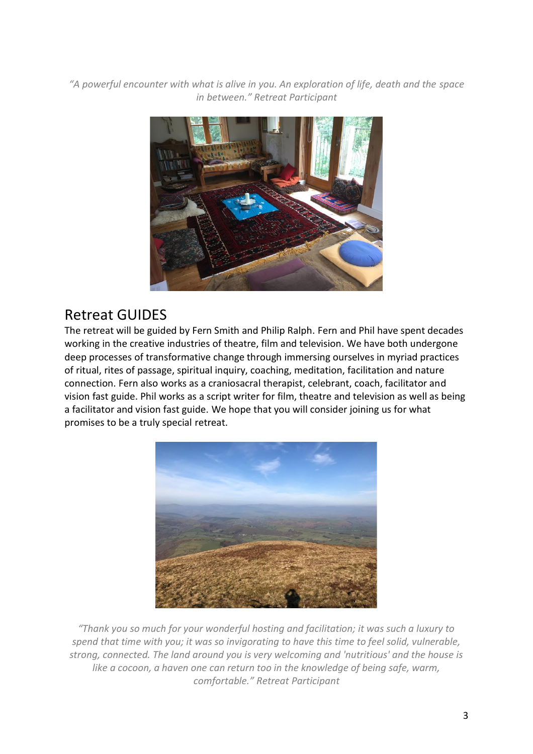*"A powerful encounter with what is alive in you. An exploration of life, death and the space in between." Retreat Participant*



### Retreat GUIDES

The retreat will be guided by Fern Smith and Philip Ralph. Fern and Phil have spent decades working in the creative industries of theatre, film and television. We have both undergone deep processes of transformative change through immersing ourselves in myriad practices of ritual, rites of passage, spiritual inquiry, coaching, meditation, facilitation and nature connection. Fern also works as a craniosacral therapist, celebrant, coach, facilitator and vision fast guide. Phil works as a script writer for film, theatre and television as well as being a facilitator and vision fast guide. We hope that you will consider joining us for what promises to be a truly special retreat.



*"Thank you so much for your wonderful hosting and facilitation; it was such a luxury to spend that time with you; it was so invigorating to have this time to feel solid, vulnerable, strong, connected. The land around you is very welcoming and 'nutritious' and the house is like a cocoon, a haven one can return too in the knowledge of being safe, warm, comfortable." Retreat Participant*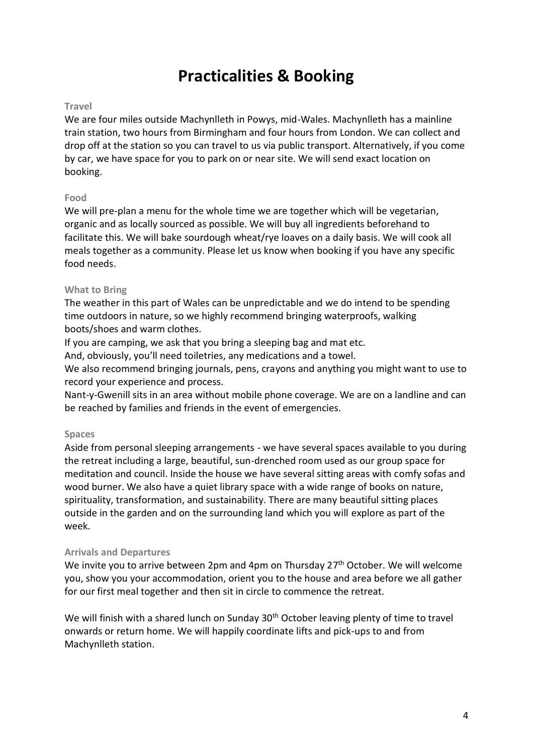## **Practicalities & Booking**

#### **Travel**

We are four miles outside Machynlleth in Powys, mid-Wales. Machynlleth has a mainline train station, two hours from Birmingham and four hours from London. We can collect and drop off at the station so you can travel to us via public transport. Alternatively, if you come by car, we have space for you to park on or near site. We will send exact location on booking.

#### **Food**

We will pre-plan a menu for the whole time we are together which will be vegetarian, organic and as locally sourced as possible. We will buy all ingredients beforehand to facilitate this. We will bake sourdough wheat/rye loaves on a daily basis. We will cook all meals together as a community. Please let us know when booking if you have any specific food needs.

#### **What to Bring**

The weather in this part of Wales can be unpredictable and we do intend to be spending time outdoors in nature, so we highly recommend bringing waterproofs, walking boots/shoes and warm clothes.

If you are camping, we ask that you bring a sleeping bag and mat etc.

And, obviously, you'll need toiletries, any medications and a towel.

We also recommend bringing journals, pens, crayons and anything you might want to use to record your experience and process.

Nant-y-Gwenill sits in an area without mobile phone coverage. We are on a landline and can be reached by families and friends in the event of emergencies.

#### **Spaces**

Aside from personal sleeping arrangements - we have several spaces available to you during the retreat including a large, beautiful, sun-drenched room used as our group space for meditation and council. Inside the house we have several sitting areas with comfy sofas and wood burner. We also have a quiet library space with a wide range of books on nature, spirituality, transformation, and sustainability. There are many beautiful sitting places outside in the garden and on the surrounding land which you will explore as part of the week.

#### **Arrivals and Departures**

We invite you to arrive between 2pm and 4pm on Thursday 27<sup>th</sup> October. We will welcome you, show you your accommodation, orient you to the house and area before we all gather for our first meal together and then sit in circle to commence the retreat.

We will finish with a shared lunch on Sunday 30<sup>th</sup> October leaving plenty of time to travel onwards or return home. We will happily coordinate lifts and pick-ups to and from Machynlleth station.